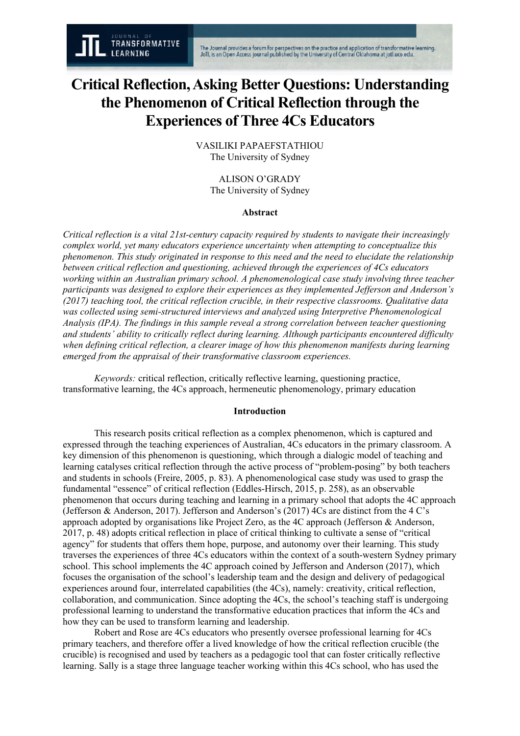# **Critical Reflection, Asking Better Questions: Understanding the Phenomenon of Critical Reflection through the Experiences of Three 4Cs Educators**

VASILIKI PAPAEFSTATHIOU The University of Sydney

> ALISON O'GRADY The University of Sydney

## **Abstract**

*Critical reflection is a vital 21st-century capacity required by students to navigate their increasingly complex world, yet many educators experience uncertainty when attempting to conceptualize this phenomenon. This study originated in response to this need and the need to elucidate the relationship between critical reflection and questioning, achieved through the experiences of 4Cs educators working within an Australian primary school. A phenomenological case study involving three teacher participants was designed to explore their experiences as they implemented Jefferson and Anderson's (2017) teaching tool, the critical reflection crucible, in their respective classrooms. Qualitative data was collected using semi-structured interviews and analyzed using Interpretive Phenomenological Analysis (IPA). The findings in this sample reveal a strong correlation between teacher questioning and students' ability to critically reflect during learning. Although participants encountered difficulty when defining critical reflection, a clearer image of how this phenomenon manifests during learning emerged from the appraisal of their transformative classroom experiences.*

*Keywords:* critical reflection, critically reflective learning, questioning practice, transformative learning, the 4Cs approach, hermeneutic phenomenology, primary education

## **Introduction**

This research posits critical reflection as a complex phenomenon, which is captured and expressed through the teaching experiences of Australian, 4Cs educators in the primary classroom. A key dimension of this phenomenon is questioning, which through a dialogic model of teaching and learning catalyses critical reflection through the active process of "problem-posing" by both teachers and students in schools (Freire, 2005, p. 83). A phenomenological case study was used to grasp the fundamental "essence" of critical reflection (Eddles-Hirsch, 2015, p. 258), as an observable phenomenon that occurs during teaching and learning in a primary school that adopts the 4C approach (Jefferson & Anderson, 2017). Jefferson and Anderson's (2017) 4Cs are distinct from the 4 C's approach adopted by organisations like Project Zero, as the 4C approach (Jefferson & Anderson, 2017, p. 48) adopts critical reflection in place of critical thinking to cultivate a sense of "critical agency" for students that offers them hope, purpose, and autonomy over their learning. This study traverses the experiences of three 4Cs educators within the context of a south-western Sydney primary school. This school implements the 4C approach coined by Jefferson and Anderson (2017), which focuses the organisation of the school's leadership team and the design and delivery of pedagogical experiences around four, interrelated capabilities (the 4Cs), namely: creativity, critical reflection, collaboration, and communication. Since adopting the 4Cs, the school's teaching staff is undergoing professional learning to understand the transformative education practices that inform the 4Cs and how they can be used to transform learning and leadership.

Robert and Rose are 4Cs educators who presently oversee professional learning for 4Cs primary teachers, and therefore offer a lived knowledge of how the critical reflection crucible (the crucible) is recognised and used by teachers as a pedagogic tool that can foster critically reflective learning. Sally is a stage three language teacher working within this 4Cs school, who has used the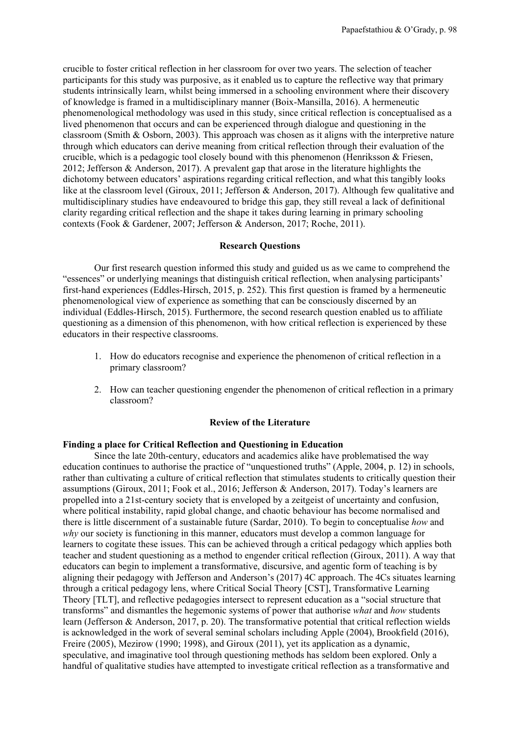crucible to foster critical reflection in her classroom for over two years. The selection of teacher participants for this study was purposive, as it enabled us to capture the reflective way that primary students intrinsically learn, whilst being immersed in a schooling environment where their discovery of knowledge is framed in a multidisciplinary manner (Boix-Mansilla, 2016). A hermeneutic phenomenological methodology was used in this study, since critical reflection is conceptualised as a lived phenomenon that occurs and can be experienced through dialogue and questioning in the classroom (Smith & Osborn, 2003). This approach was chosen as it aligns with the interpretive nature through which educators can derive meaning from critical reflection through their evaluation of the crucible, which is a pedagogic tool closely bound with this phenomenon (Henriksson  $\&$  Friesen, 2012; Jefferson & Anderson, 2017). A prevalent gap that arose in the literature highlights the dichotomy between educators' aspirations regarding critical reflection, and what this tangibly looks like at the classroom level (Giroux, 2011; Jefferson & Anderson, 2017). Although few qualitative and multidisciplinary studies have endeavoured to bridge this gap, they still reveal a lack of definitional clarity regarding critical reflection and the shape it takes during learning in primary schooling contexts (Fook & Gardener, 2007; Jefferson & Anderson, 2017; Roche, 2011).

## **Research Questions**

Our first research question informed this study and guided us as we came to comprehend the "essences" or underlying meanings that distinguish critical reflection, when analysing participants' first-hand experiences (Eddles-Hirsch, 2015, p. 252). This first question is framed by a hermeneutic phenomenological view of experience as something that can be consciously discerned by an individual (Eddles-Hirsch, 2015). Furthermore, the second research question enabled us to affiliate questioning as a dimension of this phenomenon, with how critical reflection is experienced by these educators in their respective classrooms.

- 1. How do educators recognise and experience the phenomenon of critical reflection in a primary classroom?
- 2. How can teacher questioning engender the phenomenon of critical reflection in a primary classroom?

#### **Review of the Literature**

# **Finding a place for Critical Reflection and Questioning in Education**

Since the late 20th-century, educators and academics alike have problematised the way education continues to authorise the practice of "unquestioned truths" (Apple, 2004, p. 12) in schools, rather than cultivating a culture of critical reflection that stimulates students to critically question their assumptions (Giroux, 2011; Fook et al., 2016; Jefferson & Anderson, 2017). Today's learners are propelled into a 21st-century society that is enveloped by a zeitgeist of uncertainty and confusion, where political instability, rapid global change, and chaotic behaviour has become normalised and there is little discernment of a sustainable future (Sardar, 2010). To begin to conceptualise *how* and *why* our society is functioning in this manner, educators must develop a common language for learners to cogitate these issues. This can be achieved through a critical pedagogy which applies both teacher and student questioning as a method to engender critical reflection (Giroux, 2011). A way that educators can begin to implement a transformative, discursive, and agentic form of teaching is by aligning their pedagogy with Jefferson and Anderson's (2017) 4C approach. The 4Cs situates learning through a critical pedagogy lens, where Critical Social Theory [CST], Transformative Learning Theory [TLT], and reflective pedagogies intersect to represent education as a "social structure that transforms" and dismantles the hegemonic systems of power that authorise *what* and *how* students learn (Jefferson & Anderson, 2017, p. 20). The transformative potential that critical reflection wields is acknowledged in the work of several seminal scholars including Apple (2004), Brookfield (2016), Freire (2005), Mezirow (1990; 1998), and Giroux (2011), yet its application as a dynamic, speculative, and imaginative tool through questioning methods has seldom been explored. Only a handful of qualitative studies have attempted to investigate critical reflection as a transformative and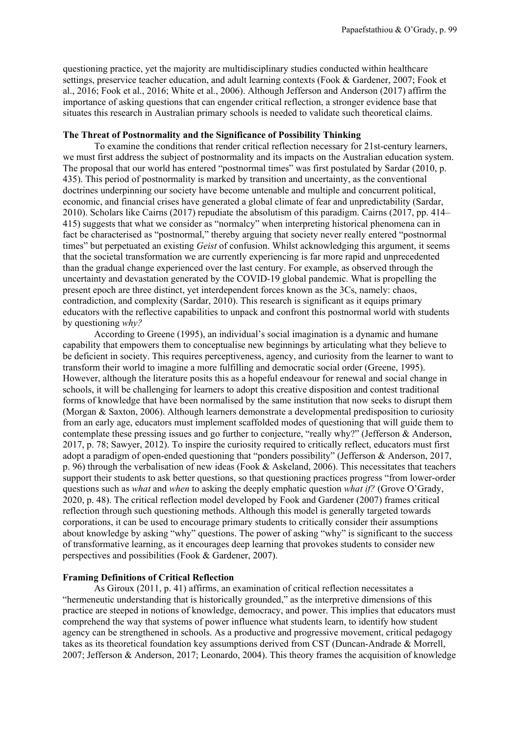questioning practice, yet the majority are multidisciplinary studies conducted within healthcare settings, preservice teacher education, and adult learning contexts (Fook & Gardener, 2007; Fook et al., 2016; Fook et al., 2016; White et al., 2006). Although Jefferson and Anderson (2017) affirm the importance of asking questions that can engender critical reflection, a stronger evidence base that situates this research in Australian primary schools is needed to validate such theoretical claims.

#### **The Threat of Postnormality and the Significance of Possibility Thinking**

To examine the conditions that render critical reflection necessary for 21st-century learners, we must first address the subject of postnormality and its impacts on the Australian education system. The proposal that our world has entered "postnormal times" was first postulated by Sardar (2010, p. 435). This period of postnormality is marked by transition and uncertainty, as the conventional doctrines underpinning our society have become untenable and multiple and concurrent political, economic, and financial crises have generated a global climate of fear and unpredictability (Sardar, 2010). Scholars like Cairns (2017) repudiate the absolutism of this paradigm. Cairns (2017, pp. 414– 415) suggests that what we consider as "normalcy" when interpreting historical phenomena can in fact be characterised as "postnormal," thereby arguing that society never really entered "postnormal times" but perpetuated an existing *Geist* of confusion. Whilst acknowledging this argument, it seems that the societal transformation we are currently experiencing is far more rapid and unprecedented than the gradual change experienced over the last century. For example, as observed through the uncertainty and devastation generated by the COVID-19 global pandemic. What is propelling the present epoch are three distinct, yet interdependent forces known as the 3Cs, namely: chaos, contradiction, and complexity (Sardar, 2010). This research is significant as it equips primary educators with the reflective capabilities to unpack and confront this postnormal world with students by questioning *why?*

According to Greene (1995), an individual's social imagination is a dynamic and humane capability that empowers them to conceptualise new beginnings by articulating what they believe to be deficient in society. This requires perceptiveness, agency, and curiosity from the learner to want to transform their world to imagine a more fulfilling and democratic social order (Greene, 1995). However, although the literature posits this as a hopeful endeavour for renewal and social change in schools, it will be challenging for learners to adopt this creative disposition and contest traditional forms of knowledge that have been normalised by the same institution that now seeks to disrupt them (Morgan & Saxton, 2006). Although learners demonstrate a developmental predisposition to curiosity from an early age, educators must implement scaffolded modes of questioning that will guide them to contemplate these pressing issues and go further to conjecture, "really why?" (Jefferson & Anderson, 2017, p. 78; Sawyer, 2012). To inspire the curiosity required to critically reflect, educators must first adopt a paradigm of open-ended questioning that "ponders possibility" (Jefferson & Anderson, 2017, p. 96) through the verbalisation of new ideas (Fook & Askeland, 2006). This necessitates that teachers support their students to ask better questions, so that questioning practices progress "from lower-order questions such as *what* and *when* to asking the deeply emphatic question *what if?* (Grove O'Grady, 2020, p. 48). The critical reflection model developed by Fook and Gardener (2007) frames critical reflection through such questioning methods. Although this model is generally targeted towards corporations, it can be used to encourage primary students to critically consider their assumptions about knowledge by asking "why" questions. The power of asking "why" is significant to the success of transformative learning, as it encourages deep learning that provokes students to consider new perspectives and possibilities (Fook & Gardener, 2007).

#### **Framing Definitions of Critical Reflection**

As Giroux (2011, p. 41) affirms, an examination of critical reflection necessitates a "hermeneutic understanding that is historically grounded," as the interpretive dimensions of this practice are steeped in notions of knowledge, democracy, and power. This implies that educators must comprehend the way that systems of power influence what students learn, to identify how student agency can be strengthened in schools. As a productive and progressive movement, critical pedagogy takes as its theoretical foundation key assumptions derived from CST (Duncan-Andrade & Morrell, 2007; Jefferson & Anderson, 2017; Leonardo, 2004). This theory frames the acquisition of knowledge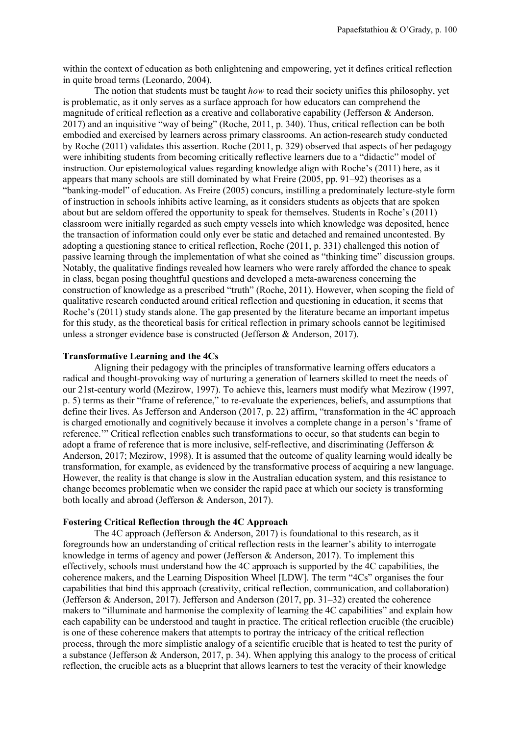within the context of education as both enlightening and empowering, yet it defines critical reflection in quite broad terms (Leonardo, 2004).

The notion that students must be taught *how* to read their society unifies this philosophy, yet is problematic, as it only serves as a surface approach for how educators can comprehend the magnitude of critical reflection as a creative and collaborative capability (Jefferson & Anderson, 2017) and an inquisitive "way of being" (Roche, 2011, p. 340). Thus, critical reflection can be both embodied and exercised by learners across primary classrooms. An action-research study conducted by Roche (2011) validates this assertion. Roche (2011, p. 329) observed that aspects of her pedagogy were inhibiting students from becoming critically reflective learners due to a "didactic" model of instruction. Our epistemological values regarding knowledge align with Roche's (2011) here, as it appears that many schools are still dominated by what Freire (2005, pp. 91–92) theorises as a "banking-model" of education. As Freire (2005) concurs, instilling a predominately lecture-style form of instruction in schools inhibits active learning, as it considers students as objects that are spoken about but are seldom offered the opportunity to speak for themselves. Students in Roche's (2011) classroom were initially regarded as such empty vessels into which knowledge was deposited, hence the transaction of information could only ever be static and detached and remained uncontested. By adopting a questioning stance to critical reflection, Roche (2011, p. 331) challenged this notion of passive learning through the implementation of what she coined as "thinking time" discussion groups. Notably, the qualitative findings revealed how learners who were rarely afforded the chance to speak in class, began posing thoughtful questions and developed a meta-awareness concerning the construction of knowledge as a prescribed "truth" (Roche, 2011). However, when scoping the field of qualitative research conducted around critical reflection and questioning in education, it seems that Roche's (2011) study stands alone. The gap presented by the literature became an important impetus for this study, as the theoretical basis for critical reflection in primary schools cannot be legitimised unless a stronger evidence base is constructed (Jefferson & Anderson, 2017).

#### **Transformative Learning and the 4Cs**

Aligning their pedagogy with the principles of transformative learning offers educators a radical and thought-provoking way of nurturing a generation of learners skilled to meet the needs of our 21st-century world (Mezirow, 1997). To achieve this, learners must modify what Mezirow (1997, p. 5) terms as their "frame of reference," to re-evaluate the experiences, beliefs, and assumptions that define their lives. As Jefferson and Anderson (2017, p. 22) affirm, "transformation in the 4C approach is charged emotionally and cognitively because it involves a complete change in a person's 'frame of reference.'" Critical reflection enables such transformations to occur, so that students can begin to adopt a frame of reference that is more inclusive, self-reflective, and discriminating (Jefferson & Anderson, 2017; Mezirow, 1998). It is assumed that the outcome of quality learning would ideally be transformation, for example, as evidenced by the transformative process of acquiring a new language. However, the reality is that change is slow in the Australian education system, and this resistance to change becomes problematic when we consider the rapid pace at which our society is transforming both locally and abroad (Jefferson & Anderson, 2017).

## **Fostering Critical Reflection through the 4C Approach**

The 4C approach (Jefferson & Anderson, 2017) is foundational to this research, as it foregrounds how an understanding of critical reflection rests in the learner's ability to interrogate knowledge in terms of agency and power (Jefferson & Anderson, 2017). To implement this effectively, schools must understand how the 4C approach is supported by the 4C capabilities, the coherence makers, and the Learning Disposition Wheel [LDW]. The term "4Cs" organises the four capabilities that bind this approach (creativity, critical reflection, communication, and collaboration) (Jefferson & Anderson, 2017). Jefferson and Anderson (2017, pp. 31–32) created the coherence makers to "illuminate and harmonise the complexity of learning the 4C capabilities" and explain how each capability can be understood and taught in practice. The critical reflection crucible (the crucible) is one of these coherence makers that attempts to portray the intricacy of the critical reflection process, through the more simplistic analogy of a scientific crucible that is heated to test the purity of a substance (Jefferson & Anderson, 2017, p. 34). When applying this analogy to the process of critical reflection, the crucible acts as a blueprint that allows learners to test the veracity of their knowledge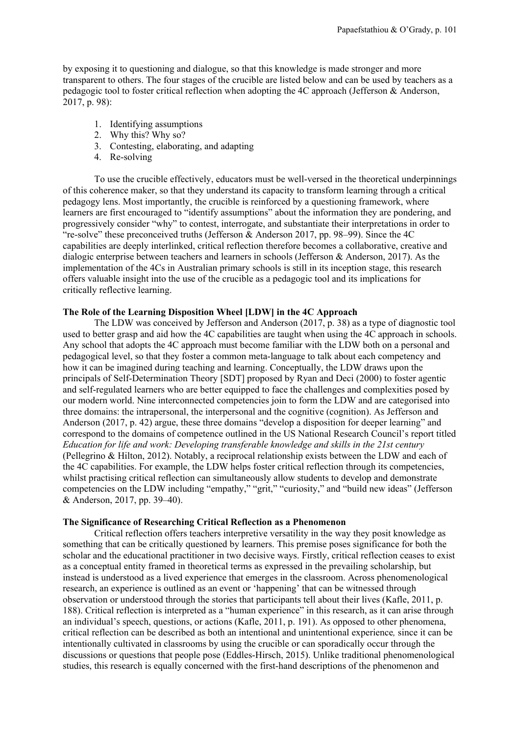by exposing it to questioning and dialogue, so that this knowledge is made stronger and more transparent to others. The four stages of the crucible are listed below and can be used by teachers as a pedagogic tool to foster critical reflection when adopting the 4C approach (Jefferson & Anderson, 2017, p. 98):

- 1. Identifying assumptions
- 2. Why this? Why so?
- 3. Contesting, elaborating, and adapting
- 4. Re-solving

To use the crucible effectively, educators must be well-versed in the theoretical underpinnings of this coherence maker, so that they understand its capacity to transform learning through a critical pedagogy lens. Most importantly, the crucible is reinforced by a questioning framework, where learners are first encouraged to "identify assumptions" about the information they are pondering, and progressively consider "why" to contest, interrogate, and substantiate their interpretations in order to "re-solve" these preconceived truths (Jefferson  $\&$  Anderson 2017, pp. 98–99). Since the 4C capabilities are deeply interlinked, critical reflection therefore becomes a collaborative, creative and dialogic enterprise between teachers and learners in schools (Jefferson & Anderson, 2017). As the implementation of the 4Cs in Australian primary schools is still in its inception stage, this research offers valuable insight into the use of the crucible as a pedagogic tool and its implications for critically reflective learning.

# **The Role of the Learning Disposition Wheel [LDW] in the 4C Approach**

The LDW was conceived by Jefferson and Anderson (2017, p. 38) as a type of diagnostic tool used to better grasp and aid how the 4C capabilities are taught when using the 4C approach in schools. Any school that adopts the 4C approach must become familiar with the LDW both on a personal and pedagogical level, so that they foster a common meta-language to talk about each competency and how it can be imagined during teaching and learning. Conceptually, the LDW draws upon the principals of Self-Determination Theory [SDT] proposed by Ryan and Deci (2000) to foster agentic and self-regulated learners who are better equipped to face the challenges and complexities posed by our modern world. Nine interconnected competencies join to form the LDW and are categorised into three domains: the intrapersonal, the interpersonal and the cognitive (cognition). As Jefferson and Anderson (2017, p. 42) argue, these three domains "develop a disposition for deeper learning" and correspond to the domains of competence outlined in the US National Research Council's report titled *Education for life and work: Developing transferable knowledge and skills in the 21st century* (Pellegrino & Hilton, 2012). Notably, a reciprocal relationship exists between the LDW and each of the 4C capabilities. For example, the LDW helps foster critical reflection through its competencies, whilst practising critical reflection can simultaneously allow students to develop and demonstrate competencies on the LDW including "empathy," "grit," "curiosity," and "build new ideas" (Jefferson & Anderson, 2017, pp. 39–40).

# **The Significance of Researching Critical Reflection as a Phenomenon**

Critical reflection offers teachers interpretive versatility in the way they posit knowledge as something that can be critically questioned by learners. This premise poses significance for both the scholar and the educational practitioner in two decisive ways. Firstly, critical reflection ceases to exist as a conceptual entity framed in theoretical terms as expressed in the prevailing scholarship, but instead is understood as a lived experience that emerges in the classroom. Across phenomenological research, an experience is outlined as an event or 'happening' that can be witnessed through observation or understood through the stories that participants tell about their lives (Kafle, 2011, p. 188). Critical reflection is interpreted as a "human experience" in this research, as it can arise through an individual's speech, questions, or actions (Kafle, 2011, p. 191). As opposed to other phenomena, critical reflection can be described as both an intentional and unintentional experience*,* since it can be intentionally cultivated in classrooms by using the crucible or can sporadically occur through the discussions or questions that people pose (Eddles-Hirsch, 2015). Unlike traditional phenomenological studies, this research is equally concerned with the first-hand descriptions of the phenomenon and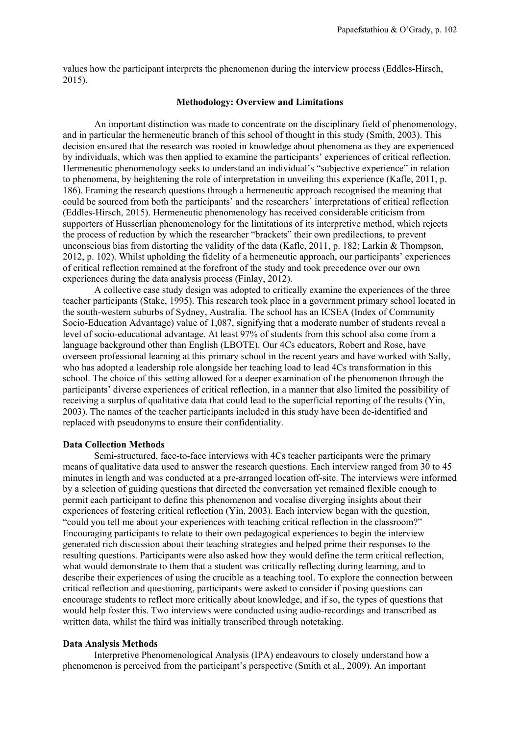values how the participant interprets the phenomenon during the interview process (Eddles-Hirsch, 2015).

## **Methodology: Overview and Limitations**

An important distinction was made to concentrate on the disciplinary field of phenomenology, and in particular the hermeneutic branch of this school of thought in this study (Smith, 2003). This decision ensured that the research was rooted in knowledge about phenomena as they are experienced by individuals, which was then applied to examine the participants' experiences of critical reflection. Hermeneutic phenomenology seeks to understand an individual's "subjective experience" in relation to phenomena, by heightening the role of interpretation in unveiling this experience (Kafle, 2011, p. 186). Framing the research questions through a hermeneutic approach recognised the meaning that could be sourced from both the participants' and the researchers' interpretations of critical reflection (Eddles-Hirsch, 2015). Hermeneutic phenomenology has received considerable criticism from supporters of Husserlian phenomenology for the limitations of its interpretive method, which rejects the process of reduction by which the researcher "brackets" their own predilections, to prevent unconscious bias from distorting the validity of the data (Kafle, 2011, p. 182; Larkin  $\&$  Thompson, 2012, p. 102). Whilst upholding the fidelity of a hermeneutic approach, our participants' experiences of critical reflection remained at the forefront of the study and took precedence over our own experiences during the data analysis process (Finlay, 2012).

A collective case study design was adopted to critically examine the experiences of the three teacher participants (Stake, 1995). This research took place in a government primary school located in the south-western suburbs of Sydney, Australia. The school has an ICSEA (Index of Community Socio-Education Advantage) value of 1,087, signifying that a moderate number of students reveal a level of socio-educational advantage. At least 97% of students from this school also come from a language background other than English (LBOTE). Our 4Cs educators, Robert and Rose, have overseen professional learning at this primary school in the recent years and have worked with Sally, who has adopted a leadership role alongside her teaching load to lead 4Cs transformation in this school. The choice of this setting allowed for a deeper examination of the phenomenon through the participants' diverse experiences of critical reflection, in a manner that also limited the possibility of receiving a surplus of qualitative data that could lead to the superficial reporting of the results (Yin, 2003). The names of the teacher participants included in this study have been de-identified and replaced with pseudonyms to ensure their confidentiality.

# **Data Collection Methods**

Semi-structured, face-to-face interviews with 4Cs teacher participants were the primary means of qualitative data used to answer the research questions. Each interview ranged from 30 to 45 minutes in length and was conducted at a pre-arranged location off-site. The interviews were informed by a selection of guiding questions that directed the conversation yet remained flexible enough to permit each participant to define this phenomenon and vocalise diverging insights about their experiences of fostering critical reflection (Yin, 2003). Each interview began with the question, "could you tell me about your experiences with teaching critical reflection in the classroom?" Encouraging participants to relate to their own pedagogical experiences to begin the interview generated rich discussion about their teaching strategies and helped prime their responses to the resulting questions. Participants were also asked how they would define the term critical reflection, what would demonstrate to them that a student was critically reflecting during learning, and to describe their experiences of using the crucible as a teaching tool. To explore the connection between critical reflection and questioning, participants were asked to consider if posing questions can encourage students to reflect more critically about knowledge, and if so, the types of questions that would help foster this. Two interviews were conducted using audio-recordings and transcribed as written data, whilst the third was initially transcribed through notetaking.

## **Data Analysis Methods**

Interpretive Phenomenological Analysis (IPA) endeavours to closely understand how a phenomenon is perceived from the participant's perspective (Smith et al., 2009). An important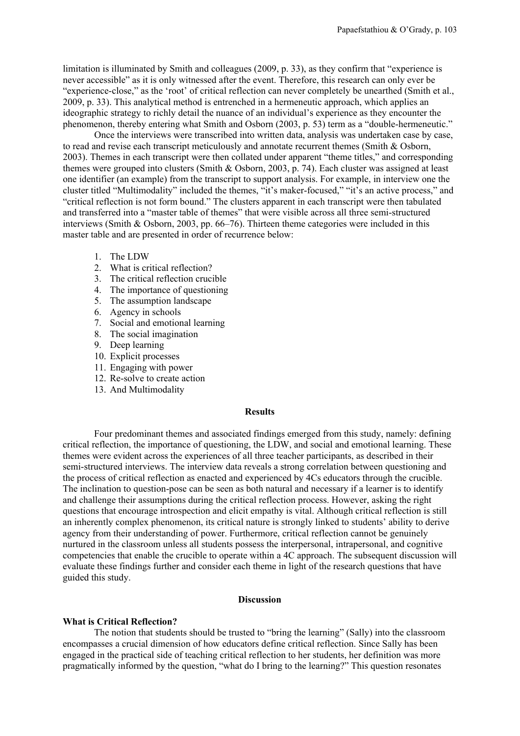limitation is illuminated by Smith and colleagues (2009, p. 33), as they confirm that "experience is never accessible" as it is only witnessed after the event. Therefore, this research can only ever be "experience-close," as the 'root' of critical reflection can never completely be unearthed (Smith et al., 2009, p. 33). This analytical method is entrenched in a hermeneutic approach, which applies an ideographic strategy to richly detail the nuance of an individual's experience as they encounter the phenomenon, thereby entering what Smith and Osborn (2003, p. 53) term as a "double-hermeneutic."

Once the interviews were transcribed into written data, analysis was undertaken case by case, to read and revise each transcript meticulously and annotate recurrent themes (Smith & Osborn, 2003). Themes in each transcript were then collated under apparent "theme titles," and corresponding themes were grouped into clusters (Smith & Osborn, 2003, p. 74). Each cluster was assigned at least one identifier (an example) from the transcript to support analysis. For example, in interview one the cluster titled "Multimodality" included the themes, "it's maker-focused," "it's an active process," and "critical reflection is not form bound." The clusters apparent in each transcript were then tabulated and transferred into a "master table of themes" that were visible across all three semi-structured interviews (Smith & Osborn, 2003, pp. 66–76). Thirteen theme categories were included in this master table and are presented in order of recurrence below:

- 1. The LDW
- 2. What is critical reflection?
- 3. The critical reflection crucible
- 4. The importance of questioning
- 5. The assumption landscape
- 6. Agency in schools
- 7. Social and emotional learning
- 8. The social imagination
- 9. Deep learning
- 10. Explicit processes
- 11. Engaging with power
- 12. Re-solve to create action
- 13. And Multimodality

#### **Results**

Four predominant themes and associated findings emerged from this study, namely: defining critical reflection, the importance of questioning, the LDW, and social and emotional learning. These themes were evident across the experiences of all three teacher participants, as described in their semi-structured interviews. The interview data reveals a strong correlation between questioning and the process of critical reflection as enacted and experienced by 4Cs educators through the crucible. The inclination to question-pose can be seen as both natural and necessary if a learner is to identify and challenge their assumptions during the critical reflection process. However, asking the right questions that encourage introspection and elicit empathy is vital. Although critical reflection is still an inherently complex phenomenon, its critical nature is strongly linked to students' ability to derive agency from their understanding of power. Furthermore, critical reflection cannot be genuinely nurtured in the classroom unless all students possess the interpersonal, intrapersonal, and cognitive competencies that enable the crucible to operate within a 4C approach. The subsequent discussion will evaluate these findings further and consider each theme in light of the research questions that have guided this study.

## **Discussion**

#### **What is Critical Reflection?**

The notion that students should be trusted to "bring the learning" (Sally) into the classroom encompasses a crucial dimension of how educators define critical reflection. Since Sally has been engaged in the practical side of teaching critical reflection to her students, her definition was more pragmatically informed by the question, "what do I bring to the learning?" This question resonates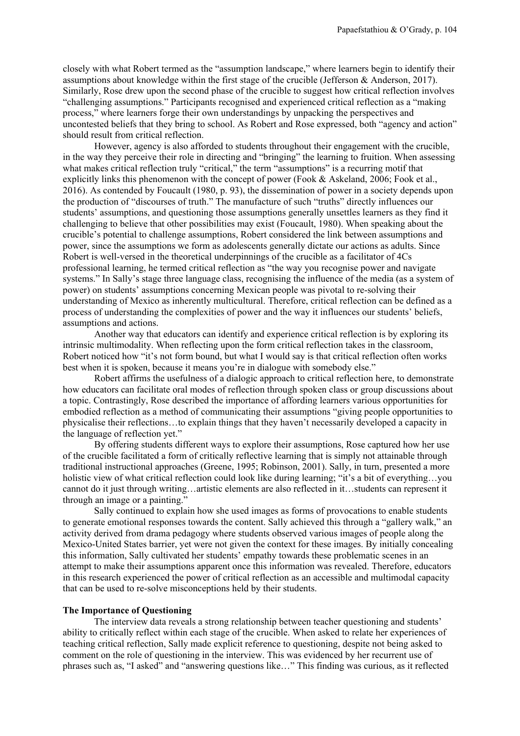closely with what Robert termed as the "assumption landscape," where learners begin to identify their assumptions about knowledge within the first stage of the crucible (Jefferson & Anderson, 2017). Similarly, Rose drew upon the second phase of the crucible to suggest how critical reflection involves "challenging assumptions." Participants recognised and experienced critical reflection as a "making process," where learners forge their own understandings by unpacking the perspectives and uncontested beliefs that they bring to school. As Robert and Rose expressed, both "agency and action" should result from critical reflection.

However, agency is also afforded to students throughout their engagement with the crucible, in the way they perceive their role in directing and "bringing" the learning to fruition. When assessing what makes critical reflection truly "critical," the term "assumptions" is a recurring motif that explicitly links this phenomenon with the concept of power (Fook & Askeland, 2006; Fook et al., 2016). As contended by Foucault (1980, p. 93), the dissemination of power in a society depends upon the production of "discourses of truth." The manufacture of such "truths" directly influences our students' assumptions, and questioning those assumptions generally unsettles learners as they find it challenging to believe that other possibilities may exist (Foucault, 1980). When speaking about the crucible's potential to challenge assumptions, Robert considered the link between assumptions and power, since the assumptions we form as adolescents generally dictate our actions as adults. Since Robert is well-versed in the theoretical underpinnings of the crucible as a facilitator of 4Cs professional learning, he termed critical reflection as "the way you recognise power and navigate systems." In Sally's stage three language class, recognising the influence of the media (as a system of power) on students' assumptions concerning Mexican people was pivotal to re-solving their understanding of Mexico as inherently multicultural. Therefore, critical reflection can be defined as a process of understanding the complexities of power and the way it influences our students' beliefs, assumptions and actions.

Another way that educators can identify and experience critical reflection is by exploring its intrinsic multimodality. When reflecting upon the form critical reflection takes in the classroom, Robert noticed how "it's not form bound, but what I would say is that critical reflection often works best when it is spoken, because it means you're in dialogue with somebody else."

Robert affirms the usefulness of a dialogic approach to critical reflection here, to demonstrate how educators can facilitate oral modes of reflection through spoken class or group discussions about a topic. Contrastingly, Rose described the importance of affording learners various opportunities for embodied reflection as a method of communicating their assumptions "giving people opportunities to physicalise their reflections…to explain things that they haven't necessarily developed a capacity in the language of reflection yet."

By offering students different ways to explore their assumptions, Rose captured how her use of the crucible facilitated a form of critically reflective learning that is simply not attainable through traditional instructional approaches (Greene, 1995; Robinson, 2001). Sally, in turn, presented a more holistic view of what critical reflection could look like during learning; "it's a bit of everything...you cannot do it just through writing…artistic elements are also reflected in it…students can represent it through an image or a painting."

Sally continued to explain how she used images as forms of provocations to enable students to generate emotional responses towards the content. Sally achieved this through a "gallery walk," an activity derived from drama pedagogy where students observed various images of people along the Mexico-United States barrier, yet were not given the context for these images. By initially concealing this information, Sally cultivated her students' empathy towards these problematic scenes in an attempt to make their assumptions apparent once this information was revealed. Therefore, educators in this research experienced the power of critical reflection as an accessible and multimodal capacity that can be used to re-solve misconceptions held by their students.

#### **The Importance of Questioning**

The interview data reveals a strong relationship between teacher questioning and students' ability to critically reflect within each stage of the crucible. When asked to relate her experiences of teaching critical reflection, Sally made explicit reference to questioning, despite not being asked to comment on the role of questioning in the interview. This was evidenced by her recurrent use of phrases such as, "I asked" and "answering questions like…" This finding was curious, as it reflected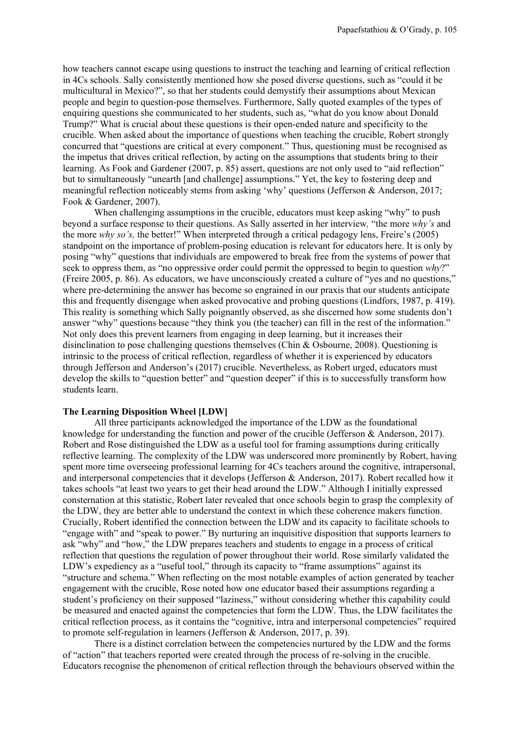how teachers cannot escape using questions to instruct the teaching and learning of critical reflection in 4Cs schools. Sally consistently mentioned how she posed diverse questions, such as "could it be multicultural in Mexico?", so that her students could demystify their assumptions about Mexican people and begin to question-pose themselves. Furthermore, Sally quoted examples of the types of enquiring questions she communicated to her students, such as, "what do you know about Donald Trump?" What is crucial about these questions is their open-ended nature and specificity to the crucible. When asked about the importance of questions when teaching the crucible, Robert strongly concurred that "questions are critical at every component." Thus, questioning must be recognised as the impetus that drives critical reflection, by acting on the assumptions that students bring to their learning. As Fook and Gardener (2007, p. 85) assert, questions are not only used to "aid reflection" but to simultaneously "unearth [and challenge] assumptions." Yet, the key to fostering deep and meaningful reflection noticeably stems from asking 'why' questions (Jefferson & Anderson, 2017; Fook & Gardener, 2007).

When challenging assumptions in the crucible, educators must keep asking "why" to push beyond a surface response to their questions. As Sally asserted in her interview*,* "the more *why's* and the more *why so's,* the better!" When interpreted through a critical pedagogy lens, Freire's (2005) standpoint on the importance of problem-posing education is relevant for educators here. It is only by posing "why" questions that individuals are empowered to break free from the systems of power that seek to oppress them, as "no oppressive order could permit the oppressed to begin to question *why*?" (Freire 2005, p. 86). As educators, we have unconsciously created a culture of "yes and no questions," where pre-determining the answer has become so engrained in our praxis that our students anticipate this and frequently disengage when asked provocative and probing questions (Lindfors, 1987, p. 419). This reality is something which Sally poignantly observed, as she discerned how some students don't answer "why" questions because "they think you (the teacher) can fill in the rest of the information." Not only does this prevent learners from engaging in deep learning, but it increases their disinclination to pose challenging questions themselves (Chin & Osbourne, 2008). Questioning is intrinsic to the process of critical reflection, regardless of whether it is experienced by educators through Jefferson and Anderson's (2017) crucible. Nevertheless, as Robert urged, educators must develop the skills to "question better" and "question deeper" if this is to successfully transform how students learn.

## **The Learning Disposition Wheel [LDW]**

All three participants acknowledged the importance of the LDW as the foundational knowledge for understanding the function and power of the crucible (Jefferson & Anderson, 2017). Robert and Rose distinguished the LDW as a useful tool for framing assumptions during critically reflective learning. The complexity of the LDW was underscored more prominently by Robert, having spent more time overseeing professional learning for 4Cs teachers around the cognitive, intrapersonal, and interpersonal competencies that it develops (Jefferson & Anderson, 2017). Robert recalled how it takes schools "at least two years to get their head around the LDW." Although I initially expressed consternation at this statistic, Robert later revealed that once schools begin to grasp the complexity of the LDW, they are better able to understand the context in which these coherence makers function. Crucially, Robert identified the connection between the LDW and its capacity to facilitate schools to "engage with" and "speak to power." By nurturing an inquisitive disposition that supports learners to ask "why" and "how," the LDW prepares teachers and students to engage in a process of critical reflection that questions the regulation of power throughout their world. Rose similarly validated the LDW's expediency as a "useful tool," through its capacity to "frame assumptions" against its "structure and schema." When reflecting on the most notable examples of action generated by teacher engagement with the crucible, Rose noted how one educator based their assumptions regarding a student's proficiency on their supposed "laziness," without considering whether this capability could be measured and enacted against the competencies that form the LDW. Thus, the LDW facilitates the critical reflection process, as it contains the "cognitive, intra and interpersonal competencies" required to promote self-regulation in learners (Jefferson & Anderson, 2017, p. 39).

There is a distinct correlation between the competencies nurtured by the LDW and the forms of "action" that teachers reported were created through the process of re-solving in the crucible. Educators recognise the phenomenon of critical reflection through the behaviours observed within the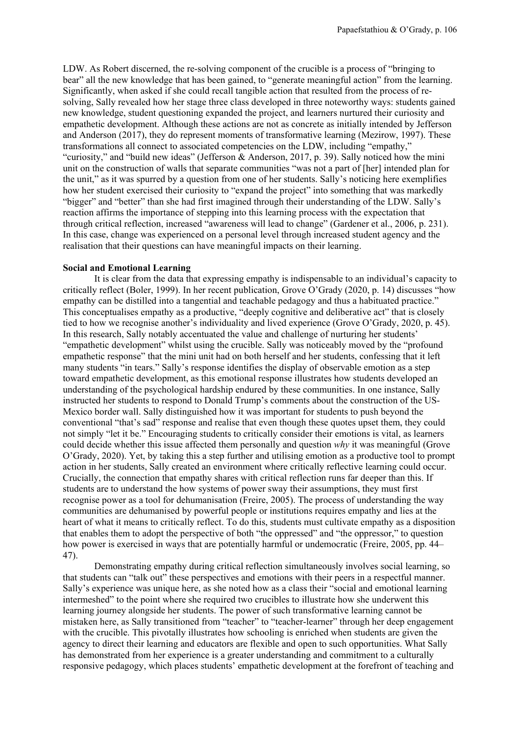LDW. As Robert discerned, the re-solving component of the crucible is a process of "bringing to bear" all the new knowledge that has been gained, to "generate meaningful action" from the learning. Significantly, when asked if she could recall tangible action that resulted from the process of resolving, Sally revealed how her stage three class developed in three noteworthy ways: students gained new knowledge, student questioning expanded the project, and learners nurtured their curiosity and empathetic development. Although these actions are not as concrete as initially intended by Jefferson and Anderson (2017), they do represent moments of transformative learning (Mezirow, 1997). These transformations all connect to associated competencies on the LDW, including "empathy," "curiosity," and "build new ideas" (Jefferson & Anderson, 2017, p. 39). Sally noticed how the mini unit on the construction of walls that separate communities "was not a part of [her] intended plan for the unit," as it was spurred by a question from one of her students. Sally's noticing here exemplifies how her student exercised their curiosity to "expand the project" into something that was markedly "bigger" and "better" than she had first imagined through their understanding of the LDW. Sally's reaction affirms the importance of stepping into this learning process with the expectation that through critical reflection, increased "awareness will lead to change" (Gardener et al., 2006, p. 231). In this case, change was experienced on a personal level through increased student agency and the realisation that their questions can have meaningful impacts on their learning.

#### **Social and Emotional Learning**

It is clear from the data that expressing empathy is indispensable to an individual's capacity to critically reflect (Boler, 1999). In her recent publication, Grove O'Grady (2020, p. 14) discusses "how empathy can be distilled into a tangential and teachable pedagogy and thus a habituated practice." This conceptualises empathy as a productive, "deeply cognitive and deliberative act" that is closely tied to how we recognise another's individuality and lived experience (Grove O'Grady, 2020, p. 45). In this research, Sally notably accentuated the value and challenge of nurturing her students' "empathetic development" whilst using the crucible. Sally was noticeably moved by the "profound empathetic response" that the mini unit had on both herself and her students, confessing that it left many students "in tears." Sally's response identifies the display of observable emotion as a step toward empathetic development, as this emotional response illustrates how students developed an understanding of the psychological hardship endured by these communities. In one instance, Sally instructed her students to respond to Donald Trump's comments about the construction of the US-Mexico border wall. Sally distinguished how it was important for students to push beyond the conventional "that's sad" response and realise that even though these quotes upset them, they could not simply "let it be." Encouraging students to critically consider their emotions is vital, as learners could decide whether this issue affected them personally and question *why* it was meaningful (Grove O'Grady, 2020). Yet, by taking this a step further and utilising emotion as a productive tool to prompt action in her students, Sally created an environment where critically reflective learning could occur. Crucially, the connection that empathy shares with critical reflection runs far deeper than this. If students are to understand the how systems of power sway their assumptions, they must first recognise power as a tool for dehumanisation (Freire, 2005). The process of understanding the way communities are dehumanised by powerful people or institutions requires empathy and lies at the heart of what it means to critically reflect. To do this, students must cultivate empathy as a disposition that enables them to adopt the perspective of both "the oppressed" and "the oppressor," to question how power is exercised in ways that are potentially harmful or undemocratic (Freire, 2005, pp. 44– 47).

Demonstrating empathy during critical reflection simultaneously involves social learning, so that students can "talk out" these perspectives and emotions with their peers in a respectful manner. Sally's experience was unique here, as she noted how as a class their "social and emotional learning intermeshed" to the point where she required two crucibles to illustrate how she underwent this learning journey alongside her students. The power of such transformative learning cannot be mistaken here, as Sally transitioned from "teacher" to "teacher-learner" through her deep engagement with the crucible. This pivotally illustrates how schooling is enriched when students are given the agency to direct their learning and educators are flexible and open to such opportunities. What Sally has demonstrated from her experience is a greater understanding and commitment to a culturally responsive pedagogy, which places students' empathetic development at the forefront of teaching and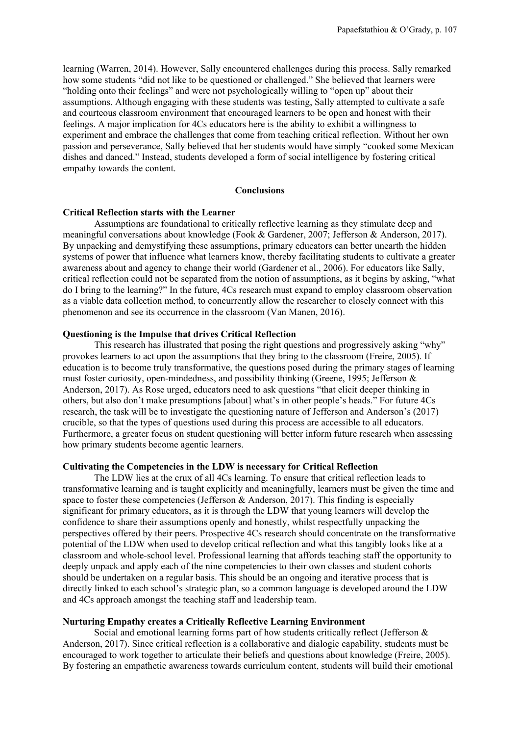learning (Warren, 2014). However, Sally encountered challenges during this process. Sally remarked how some students "did not like to be questioned or challenged." She believed that learners were "holding onto their feelings" and were not psychologically willing to "open up" about their assumptions. Although engaging with these students was testing, Sally attempted to cultivate a safe and courteous classroom environment that encouraged learners to be open and honest with their feelings. A major implication for 4Cs educators here is the ability to exhibit a willingness to experiment and embrace the challenges that come from teaching critical reflection. Without her own passion and perseverance, Sally believed that her students would have simply "cooked some Mexican dishes and danced." Instead, students developed a form of social intelligence by fostering critical empathy towards the content.

#### **Conclusions**

#### **Critical Reflection starts with the Learner**

Assumptions are foundational to critically reflective learning as they stimulate deep and meaningful conversations about knowledge (Fook & Gardener, 2007; Jefferson & Anderson, 2017). By unpacking and demystifying these assumptions, primary educators can better unearth the hidden systems of power that influence what learners know, thereby facilitating students to cultivate a greater awareness about and agency to change their world (Gardener et al., 2006). For educators like Sally, critical reflection could not be separated from the notion of assumptions, as it begins by asking, "what do I bring to the learning?" In the future, 4Cs research must expand to employ classroom observation as a viable data collection method, to concurrently allow the researcher to closely connect with this phenomenon and see its occurrence in the classroom (Van Manen, 2016).

# **Questioning is the Impulse that drives Critical Reflection**

This research has illustrated that posing the right questions and progressively asking "why" provokes learners to act upon the assumptions that they bring to the classroom (Freire, 2005). If education is to become truly transformative, the questions posed during the primary stages of learning must foster curiosity, open-mindedness, and possibility thinking (Greene, 1995; Jefferson & Anderson, 2017). As Rose urged, educators need to ask questions "that elicit deeper thinking in others, but also don't make presumptions [about] what's in other people's heads." For future 4Cs research, the task will be to investigate the questioning nature of Jefferson and Anderson's (2017) crucible, so that the types of questions used during this process are accessible to all educators. Furthermore, a greater focus on student questioning will better inform future research when assessing how primary students become agentic learners.

# **Cultivating the Competencies in the LDW is necessary for Critical Reflection**

The LDW lies at the crux of all 4Cs learning. To ensure that critical reflection leads to transformative learning and is taught explicitly and meaningfully, learners must be given the time and space to foster these competencies (Jefferson & Anderson, 2017). This finding is especially significant for primary educators, as it is through the LDW that young learners will develop the confidence to share their assumptions openly and honestly, whilst respectfully unpacking the perspectives offered by their peers. Prospective 4Cs research should concentrate on the transformative potential of the LDW when used to develop critical reflection and what this tangibly looks like at a classroom and whole-school level. Professional learning that affords teaching staff the opportunity to deeply unpack and apply each of the nine competencies to their own classes and student cohorts should be undertaken on a regular basis. This should be an ongoing and iterative process that is directly linked to each school's strategic plan, so a common language is developed around the LDW and 4Cs approach amongst the teaching staff and leadership team.

# **Nurturing Empathy creates a Critically Reflective Learning Environment**

Social and emotional learning forms part of how students critically reflect (Jefferson & Anderson, 2017). Since critical reflection is a collaborative and dialogic capability, students must be encouraged to work together to articulate their beliefs and questions about knowledge (Freire, 2005). By fostering an empathetic awareness towards curriculum content, students will build their emotional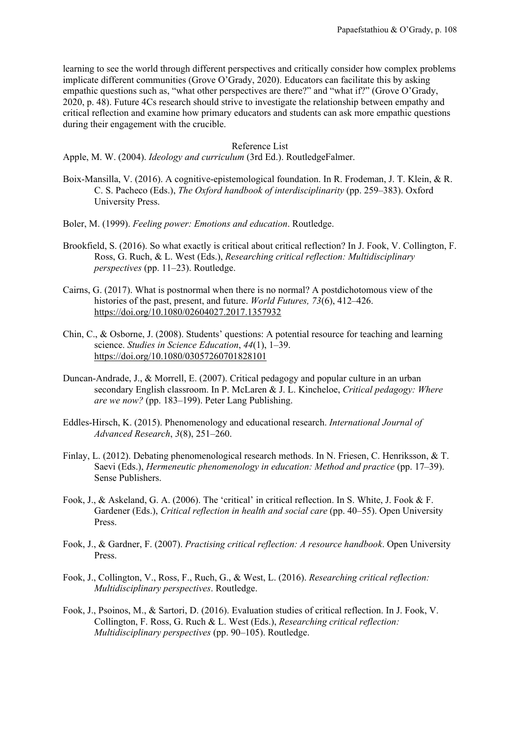learning to see the world through different perspectives and critically consider how complex problems implicate different communities (Grove O'Grady, 2020). Educators can facilitate this by asking empathic questions such as, "what other perspectives are there?" and "what if?" (Grove O'Grady, 2020, p. 48). Future 4Cs research should strive to investigate the relationship between empathy and critical reflection and examine how primary educators and students can ask more empathic questions during their engagement with the crucible.

## Reference List

Apple, M. W. (2004). *Ideology and curriculum* (3rd Ed.). RoutledgeFalmer.

- Boix-Mansilla, V. (2016). A cognitive-epistemological foundation. In R. Frodeman, J. T. Klein, & R. C. S. Pacheco (Eds.), *The Oxford handbook of interdisciplinarity* (pp. 259–383). Oxford University Press.
- Boler, M. (1999). *Feeling power: Emotions and education*. Routledge.
- Brookfield, S. (2016). So what exactly is critical about critical reflection? In J. Fook, V. Collington, F. Ross, G. Ruch, & L. West (Eds.), *Researching critical reflection: Multidisciplinary perspectives* (pp. 11–23). Routledge.
- Cairns, G. (2017). What is postnormal when there is no normal? A postdichotomous view of the histories of the past, present, and future. *World Futures, 73*(6), 412–426. <https://doi.org/10.1080/02604027.2017.1357932>
- Chin, C., & Osborne, J. (2008). Students' questions: A potential resource for teaching and learning science. *Studies in Science Education*, *44*(1), 1–39. <https://doi.org/10.1080/03057260701828101>
- Duncan-Andrade, J., & Morrell, E. (2007). Critical pedagogy and popular culture in an urban secondary English classroom. In P. McLaren & J. L. Kincheloe, *Critical pedagogy: Where are we now?* (pp. 183–199). Peter Lang Publishing.
- Eddles-Hirsch, K. (2015). Phenomenology and educational research. *International Journal of Advanced Research*, *3*(8), 251–260.
- Finlay, L. (2012). Debating phenomenological research methods. In N. Friesen, C. Henriksson, & T. Saevi (Eds.), *Hermeneutic phenomenology in education: Method and practice* (pp. 17–39). Sense Publishers.
- Fook, J., & Askeland, G. A. (2006). The 'critical' in critical reflection. In S. White, J. Fook & F. Gardener (Eds.), *Critical reflection in health and social care* (pp. 40–55). Open University Press.
- Fook, J., & Gardner, F. (2007). *Practising critical reflection: A resource handbook*. Open University Press.
- Fook, J., Collington, V., Ross, F., Ruch, G., & West, L. (2016). *Researching critical reflection: Multidisciplinary perspectives*. Routledge.
- Fook, J., Psoinos, M., & Sartori, D. (2016). Evaluation studies of critical reflection. In J. Fook, V. Collington, F. Ross, G. Ruch & L. West (Eds.), *Researching critical reflection: Multidisciplinary perspectives* (pp. 90–105). Routledge.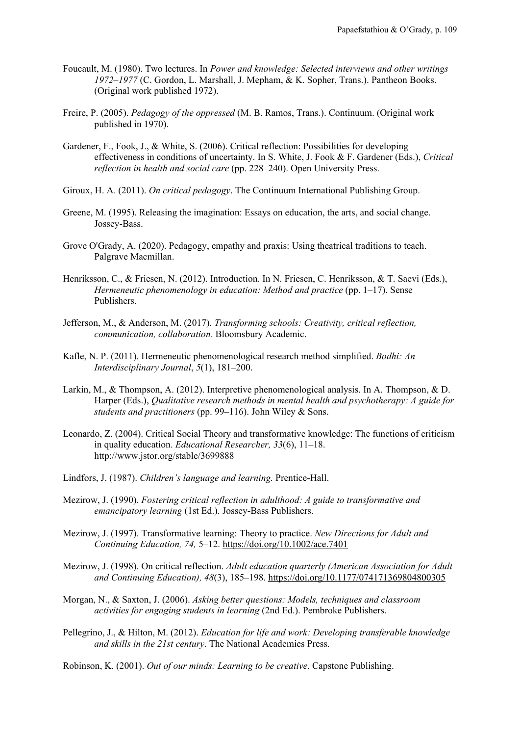- Foucault, M. (1980). Two lectures. In *Power and knowledge: Selected interviews and other writings 1972–1977* (C. Gordon, L. Marshall, J. Mepham, & K. Sopher, Trans.). Pantheon Books. (Original work published 1972).
- Freire, P. (2005). *Pedagogy of the oppressed* (M. B. Ramos, Trans.). Continuum. (Original work published in 1970).
- Gardener, F., Fook, J., & White, S. (2006). Critical reflection: Possibilities for developing effectiveness in conditions of uncertainty. In S. White, J. Fook & F. Gardener (Eds.), *Critical reflection in health and social care* (pp. 228–240). Open University Press.
- Giroux, H. A. (2011). *On critical pedagogy*. The Continuum International Publishing Group.
- Greene, M. (1995). Releasing the imagination: Essays on education, the arts, and social change. Jossey-Bass.
- Grove O'Grady, A. (2020). Pedagogy, empathy and praxis: Using theatrical traditions to teach. Palgrave Macmillan.
- Henriksson, C., & Friesen, N. (2012). Introduction. In N. Friesen, C. Henriksson, & T. Saevi (Eds.), *Hermeneutic phenomenology in education: Method and practice* (pp. 1–17). Sense Publishers.
- Jefferson, M., & Anderson, M. (2017). *Transforming schools: Creativity, critical reflection, communication, collaboration*. Bloomsbury Academic.
- Kafle, N. P. (2011). Hermeneutic phenomenological research method simplified. *Bodhi: An Interdisciplinary Journal*, *5*(1), 181–200.
- Larkin, M., & Thompson, A. (2012). Interpretive phenomenological analysis. In A. Thompson, & D. Harper (Eds.), *Qualitative research methods in mental health and psychotherapy: A guide for students and practitioners* (pp. 99–116). John Wiley & Sons.
- Leonardo, Z. (2004). Critical Social Theory and transformative knowledge: The functions of criticism in quality education. *Educational Researcher, 33*(6), 11–18. <http://www.jstor.org/stable/3699888>
- Lindfors, J. (1987). *Children's language and learning.* Prentice-Hall.
- Mezirow, J. (1990). *Fostering critical reflection in adulthood: A guide to transformative and emancipatory learning* (1st Ed.). Jossey-Bass Publishers.
- Mezirow, J. (1997). Transformative learning: Theory to practice. *New Directions for Adult and Continuing Education, 74,* 5–12. <https://doi.org/10.1002/ace.7401>
- Mezirow, J. (1998). On critical reflection. *Adult education quarterly (American Association for Adult and Continuing Education), 48*(3), 185–198.<https://doi.org/10.1177/074171369804800305>
- Morgan, N., & Saxton, J. (2006). *Asking better questions: Models, techniques and classroom activities for engaging students in learning* (2nd Ed.). Pembroke Publishers.
- Pellegrino, J., & Hilton, M. (2012). *Education for life and work: Developing transferable knowledge and skills in the 21st century*. The National Academies Press.

Robinson, K. (2001). *Out of our minds: Learning to be creative*. Capstone Publishing.